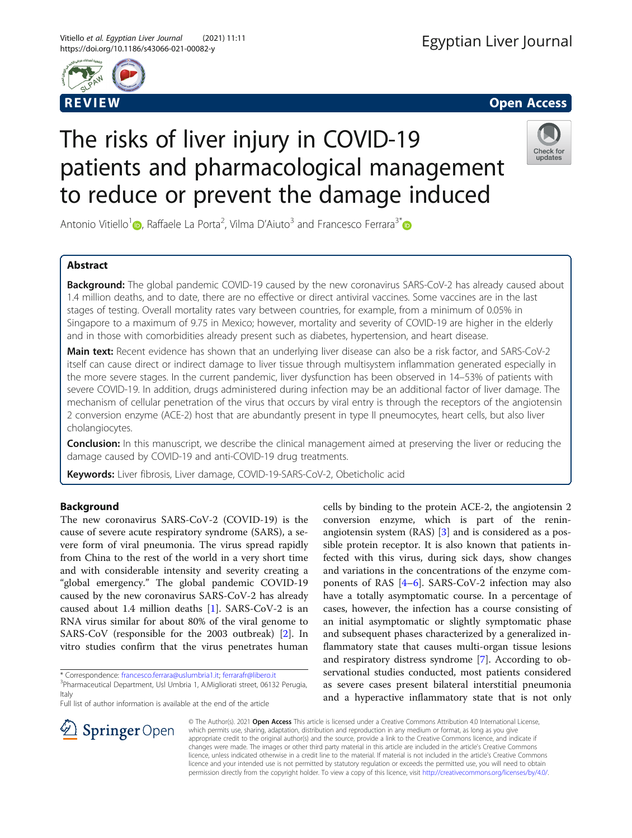



# The risks of liver injury in COVID-19 patients and pharmacological management to reduce or prevent the damage induced



Antonio Vitiello<sup>1</sup> (D)[,](https://orcid.org/0000-0003-2623-166X) Raffaele La Porta<sup>2</sup>, Vilma D'Aiuto<sup>3</sup> and Francesco Ferrara<sup>3[\\*](http://orcid.org/0000-0001-9298-6783)</sup>

# Abstract

**Background:** The global pandemic COVID-19 caused by the new coronavirus SARS-CoV-2 has already caused about 1.4 million deaths, and to date, there are no effective or direct antiviral vaccines. Some vaccines are in the last stages of testing. Overall mortality rates vary between countries, for example, from a minimum of 0.05% in Singapore to a maximum of 9.75 in Mexico; however, mortality and severity of COVID-19 are higher in the elderly and in those with comorbidities already present such as diabetes, hypertension, and heart disease.

Main text: Recent evidence has shown that an underlying liver disease can also be a risk factor, and SARS-CoV-2 itself can cause direct or indirect damage to liver tissue through multisystem inflammation generated especially in the more severe stages. In the current pandemic, liver dysfunction has been observed in 14–53% of patients with severe COVID-19. In addition, drugs administered during infection may be an additional factor of liver damage. The mechanism of cellular penetration of the virus that occurs by viral entry is through the receptors of the angiotensin 2 conversion enzyme (ACE-2) host that are abundantly present in type II pneumocytes, heart cells, but also liver cholangiocytes.

**Conclusion:** In this manuscript, we describe the clinical management aimed at preserving the liver or reducing the damage caused by COVID-19 and anti-COVID-19 drug treatments.

Keywords: Liver fibrosis, Liver damage, COVID-19-SARS-CoV-2, Obeticholic acid

# Background

The new coronavirus SARS-CoV-2 (COVID-19) is the cause of severe acute respiratory syndrome (SARS), a severe form of viral pneumonia. The virus spread rapidly from China to the rest of the world in a very short time and with considerable intensity and severity creating a "global emergency." The global pandemic COVID-19 caused by the new coronavirus SARS-CoV-2 has already caused about 1.4 million deaths [\[1](#page-4-0)]. SARS-CoV-2 is an RNA virus similar for about 80% of the viral genome to SARS-CoV (responsible for the 2003 outbreak) [[2\]](#page-4-0). In vitro studies confirm that the virus penetrates human

\* Correspondence: [francesco.ferrara@uslumbria1.it](mailto:francesco.ferrara@uslumbria1.it); [ferrarafr@libero.it](mailto:ferrarafr@libero.it) <sup>3</sup> <sup>3</sup>Pharmaceutical Department, Usl Umbria 1, A.Migliorati street, 06132 Perugia, Italy

Full list of author information is available at the end of the article

 $\mathcal{L}$  Springer Open



© The Author(s). 2021 Open Access This article is licensed under a Creative Commons Attribution 4.0 International License, which permits use, sharing, adaptation, distribution and reproduction in any medium or format, as long as you give appropriate credit to the original author(s) and the source, provide a link to the Creative Commons licence, and indicate if changes were made. The images or other third party material in this article are included in the article's Creative Commons licence, unless indicated otherwise in a credit line to the material. If material is not included in the article's Creative Commons licence and your intended use is not permitted by statutory regulation or exceeds the permitted use, you will need to obtain permission directly from the copyright holder. To view a copy of this licence, visit <http://creativecommons.org/licenses/by/4.0/>.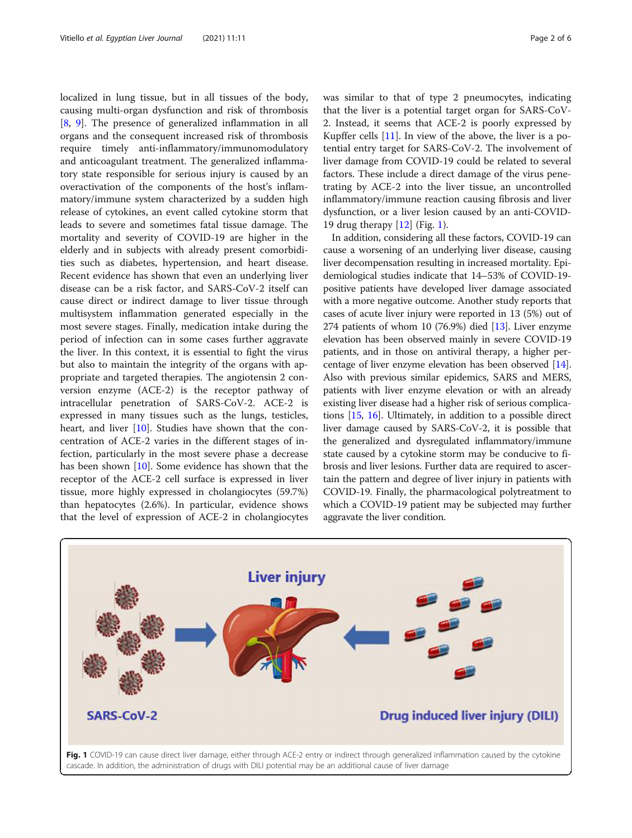localized in lung tissue, but in all tissues of the body, causing multi-organ dysfunction and risk of thrombosis [[8,](#page-4-0) [9](#page-4-0)]. The presence of generalized inflammation in all organs and the consequent increased risk of thrombosis require timely anti-inflammatory/immunomodulatory and anticoagulant treatment. The generalized inflammatory state responsible for serious injury is caused by an overactivation of the components of the host's inflammatory/immune system characterized by a sudden high release of cytokines, an event called cytokine storm that leads to severe and sometimes fatal tissue damage. The mortality and severity of COVID-19 are higher in the elderly and in subjects with already present comorbidities such as diabetes, hypertension, and heart disease. Recent evidence has shown that even an underlying liver disease can be a risk factor, and SARS-CoV-2 itself can cause direct or indirect damage to liver tissue through multisystem inflammation generated especially in the most severe stages. Finally, medication intake during the period of infection can in some cases further aggravate the liver. In this context, it is essential to fight the virus but also to maintain the integrity of the organs with appropriate and targeted therapies. The angiotensin 2 conversion enzyme (ACE-2) is the receptor pathway of intracellular penetration of SARS-CoV-2. ACE-2 is expressed in many tissues such as the lungs, testicles, heart, and liver [\[10](#page-4-0)]. Studies have shown that the concentration of ACE-2 varies in the different stages of infection, particularly in the most severe phase a decrease has been shown [[10\]](#page-4-0). Some evidence has shown that the receptor of the ACE-2 cell surface is expressed in liver tissue, more highly expressed in cholangiocytes (59.7%) than hepatocytes (2.6%). In particular, evidence shows that the level of expression of ACE-2 in cholangiocytes

was similar to that of type 2 pneumocytes, indicating that the liver is a potential target organ for SARS-CoV-2. Instead, it seems that ACE-2 is poorly expressed by Kupffer cells [[11\]](#page-4-0). In view of the above, the liver is a potential entry target for SARS-CoV-2. The involvement of liver damage from COVID-19 could be related to several factors. These include a direct damage of the virus penetrating by ACE-2 into the liver tissue, an uncontrolled inflammatory/immune reaction causing fibrosis and liver dysfunction, or a liver lesion caused by an anti-COVID-19 drug therapy [\[12\]](#page-4-0) (Fig. 1).

In addition, considering all these factors, COVID-19 can cause a worsening of an underlying liver disease, causing liver decompensation resulting in increased mortality. Epidemiological studies indicate that 14–53% of COVID-19 positive patients have developed liver damage associated with a more negative outcome. Another study reports that cases of acute liver injury were reported in 13 (5%) out of 274 patients of whom 10 (76.9%) died  $[13]$ . Liver enzyme elevation has been observed mainly in severe COVID-19 patients, and in those on antiviral therapy, a higher percentage of liver enzyme elevation has been observed [[14](#page-4-0)]. Also with previous similar epidemics, SARS and MERS, patients with liver enzyme elevation or with an already existing liver disease had a higher risk of serious complications [\[15,](#page-4-0) [16](#page-4-0)]. Ultimately, in addition to a possible direct liver damage caused by SARS-CoV-2, it is possible that the generalized and dysregulated inflammatory/immune state caused by a cytokine storm may be conducive to fibrosis and liver lesions. Further data are required to ascertain the pattern and degree of liver injury in patients with COVID-19. Finally, the pharmacological polytreatment to which a COVID-19 patient may be subjected may further aggravate the liver condition.

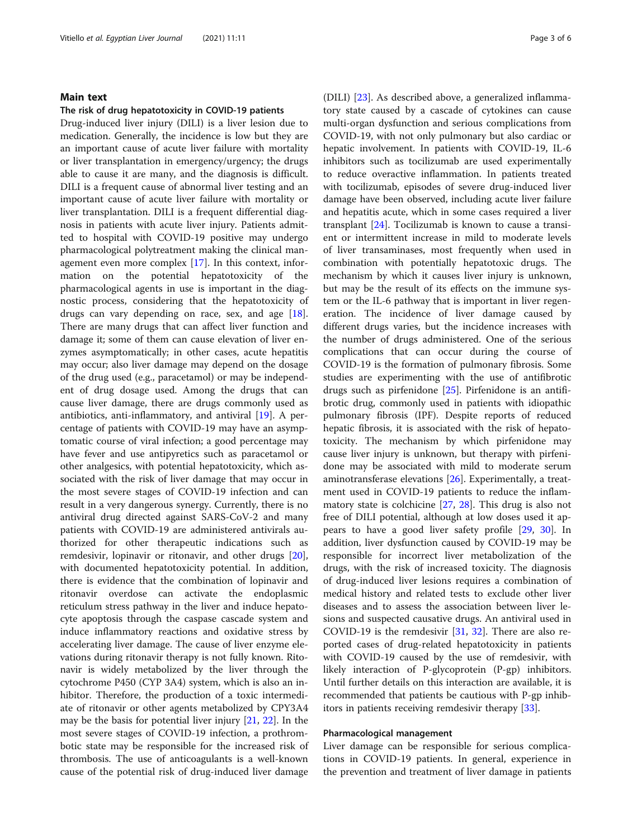## Main text

## The risk of drug hepatotoxicity in COVID-19 patients

Drug-induced liver injury (DILI) is a liver lesion due to medication. Generally, the incidence is low but they are an important cause of acute liver failure with mortality or liver transplantation in emergency/urgency; the drugs able to cause it are many, and the diagnosis is difficult. DILI is a frequent cause of abnormal liver testing and an important cause of acute liver failure with mortality or liver transplantation. DILI is a frequent differential diagnosis in patients with acute liver injury. Patients admitted to hospital with COVID-19 positive may undergo pharmacological polytreatment making the clinical management even more complex [[17](#page-4-0)]. In this context, information on the potential hepatotoxicity of the pharmacological agents in use is important in the diagnostic process, considering that the hepatotoxicity of drugs can vary depending on race, sex, and age [\[18](#page-4-0)]. There are many drugs that can affect liver function and damage it; some of them can cause elevation of liver enzymes asymptomatically; in other cases, acute hepatitis may occur; also liver damage may depend on the dosage of the drug used (e.g., paracetamol) or may be independent of drug dosage used. Among the drugs that can cause liver damage, there are drugs commonly used as antibiotics, anti-inflammatory, and antiviral [[19\]](#page-4-0). A percentage of patients with COVID-19 may have an asymptomatic course of viral infection; a good percentage may have fever and use antipyretics such as paracetamol or other analgesics, with potential hepatotoxicity, which associated with the risk of liver damage that may occur in the most severe stages of COVID-19 infection and can result in a very dangerous synergy. Currently, there is no antiviral drug directed against SARS-CoV-2 and many patients with COVID-19 are administered antivirals authorized for other therapeutic indications such as remdesivir, lopinavir or ritonavir, and other drugs [\[20](#page-4-0)], with documented hepatotoxicity potential. In addition, there is evidence that the combination of lopinavir and ritonavir overdose can activate the endoplasmic reticulum stress pathway in the liver and induce hepatocyte apoptosis through the caspase cascade system and induce inflammatory reactions and oxidative stress by accelerating liver damage. The cause of liver enzyme elevations during ritonavir therapy is not fully known. Ritonavir is widely metabolized by the liver through the cytochrome P450 (CYP 3A4) system, which is also an inhibitor. Therefore, the production of a toxic intermediate of ritonavir or other agents metabolized by CPY3A4 may be the basis for potential liver injury [[21](#page-4-0), [22](#page-4-0)]. In the most severe stages of COVID-19 infection, a prothrombotic state may be responsible for the increased risk of thrombosis. The use of anticoagulants is a well-known cause of the potential risk of drug-induced liver damage

(DILI) [[23](#page-4-0)]. As described above, a generalized inflammatory state caused by a cascade of cytokines can cause multi-organ dysfunction and serious complications from COVID-19, with not only pulmonary but also cardiac or hepatic involvement. In patients with COVID-19, IL-6 inhibitors such as tocilizumab are used experimentally to reduce overactive inflammation. In patients treated with tocilizumab, episodes of severe drug-induced liver damage have been observed, including acute liver failure and hepatitis acute, which in some cases required a liver transplant [[24](#page-4-0)]. Tocilizumab is known to cause a transient or intermittent increase in mild to moderate levels of liver transaminases, most frequently when used in combination with potentially hepatotoxic drugs. The mechanism by which it causes liver injury is unknown, but may be the result of its effects on the immune system or the IL-6 pathway that is important in liver regeneration. The incidence of liver damage caused by different drugs varies, but the incidence increases with the number of drugs administered. One of the serious complications that can occur during the course of COVID-19 is the formation of pulmonary fibrosis. Some studies are experimenting with the use of antifibrotic drugs such as pirfenidone [\[25\]](#page-4-0). Pirfenidone is an antifibrotic drug, commonly used in patients with idiopathic pulmonary fibrosis (IPF). Despite reports of reduced hepatic fibrosis, it is associated with the risk of hepatotoxicity. The mechanism by which pirfenidone may cause liver injury is unknown, but therapy with pirfenidone may be associated with mild to moderate serum aminotransferase elevations [[26\]](#page-4-0). Experimentally, a treatment used in COVID-19 patients to reduce the inflammatory state is colchicine [\[27](#page-4-0), [28\]](#page-4-0). This drug is also not free of DILI potential, although at low doses used it appears to have a good liver safety profile [[29,](#page-4-0) [30](#page-4-0)]. In addition, liver dysfunction caused by COVID-19 may be responsible for incorrect liver metabolization of the drugs, with the risk of increased toxicity. The diagnosis of drug-induced liver lesions requires a combination of medical history and related tests to exclude other liver diseases and to assess the association between liver lesions and suspected causative drugs. An antiviral used in COVID-19 is the remdesivir [\[31](#page-4-0), [32\]](#page-4-0). There are also reported cases of drug-related hepatotoxicity in patients with COVID-19 caused by the use of remdesivir, with likely interaction of P-glycoprotein (P-gp) inhibitors. Until further details on this interaction are available, it is recommended that patients be cautious with P-gp inhibitors in patients receiving remdesivir therapy [\[33\]](#page-4-0).

## Pharmacological management

Liver damage can be responsible for serious complications in COVID-19 patients. In general, experience in the prevention and treatment of liver damage in patients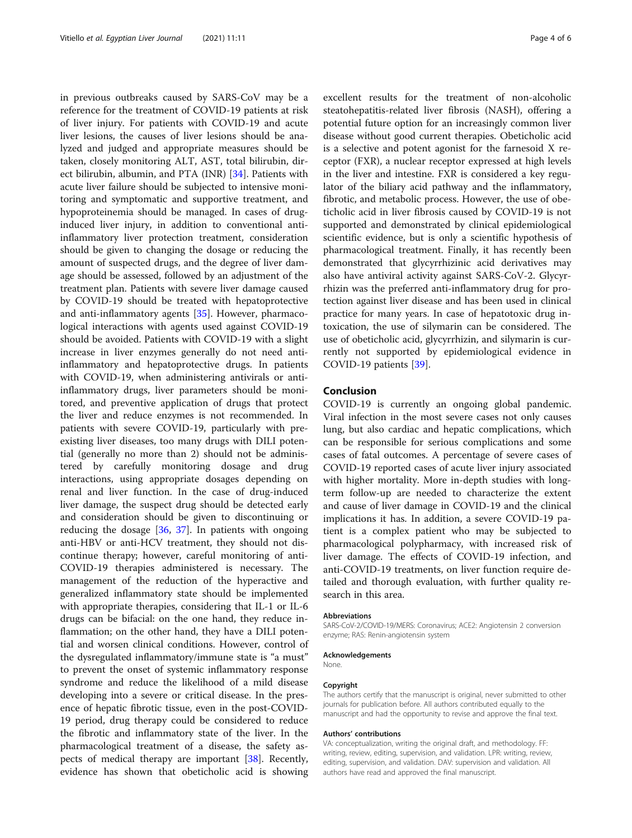in previous outbreaks caused by SARS-CoV may be a reference for the treatment of COVID-19 patients at risk of liver injury. For patients with COVID-19 and acute liver lesions, the causes of liver lesions should be analyzed and judged and appropriate measures should be taken, closely monitoring ALT, AST, total bilirubin, direct bilirubin, albumin, and PTA (INR) [\[34](#page-4-0)]. Patients with acute liver failure should be subjected to intensive monitoring and symptomatic and supportive treatment, and hypoproteinemia should be managed. In cases of druginduced liver injury, in addition to conventional antiinflammatory liver protection treatment, consideration should be given to changing the dosage or reducing the amount of suspected drugs, and the degree of liver damage should be assessed, followed by an adjustment of the treatment plan. Patients with severe liver damage caused by COVID-19 should be treated with hepatoprotective and anti-inflammatory agents [\[35](#page-4-0)]. However, pharmacological interactions with agents used against COVID-19 should be avoided. Patients with COVID-19 with a slight increase in liver enzymes generally do not need antiinflammatory and hepatoprotective drugs. In patients with COVID-19, when administering antivirals or antiinflammatory drugs, liver parameters should be monitored, and preventive application of drugs that protect the liver and reduce enzymes is not recommended. In patients with severe COVID-19, particularly with preexisting liver diseases, too many drugs with DILI potential (generally no more than 2) should not be administered by carefully monitoring dosage and drug interactions, using appropriate dosages depending on renal and liver function. In the case of drug-induced liver damage, the suspect drug should be detected early and consideration should be given to discontinuing or reducing the dosage [\[36](#page-4-0), [37\]](#page-4-0). In patients with ongoing anti-HBV or anti-HCV treatment, they should not discontinue therapy; however, careful monitoring of anti-COVID-19 therapies administered is necessary. The management of the reduction of the hyperactive and generalized inflammatory state should be implemented with appropriate therapies, considering that IL-1 or IL-6 drugs can be bifacial: on the one hand, they reduce inflammation; on the other hand, they have a DILI potential and worsen clinical conditions. However, control of the dysregulated inflammatory/immune state is "a must" to prevent the onset of systemic inflammatory response syndrome and reduce the likelihood of a mild disease developing into a severe or critical disease. In the presence of hepatic fibrotic tissue, even in the post-COVID-19 period, drug therapy could be considered to reduce the fibrotic and inflammatory state of the liver. In the pharmacological treatment of a disease, the safety aspects of medical therapy are important [[38](#page-5-0)]. Recently, evidence has shown that obeticholic acid is showing

excellent results for the treatment of non-alcoholic steatohepatitis-related liver fibrosis (NASH), offering a potential future option for an increasingly common liver disease without good current therapies. Obeticholic acid is a selective and potent agonist for the farnesoid X receptor (FXR), a nuclear receptor expressed at high levels in the liver and intestine. FXR is considered a key regulator of the biliary acid pathway and the inflammatory, fibrotic, and metabolic process. However, the use of obeticholic acid in liver fibrosis caused by COVID-19 is not supported and demonstrated by clinical epidemiological scientific evidence, but is only a scientific hypothesis of pharmacological treatment. Finally, it has recently been demonstrated that glycyrrhizinic acid derivatives may also have antiviral activity against SARS-CoV-2. Glycyrrhizin was the preferred anti-inflammatory drug for protection against liver disease and has been used in clinical practice for many years. In case of hepatotoxic drug intoxication, the use of silymarin can be considered. The use of obeticholic acid, glycyrrhizin, and silymarin is currently not supported by epidemiological evidence in COVID-19 patients [[39\]](#page-5-0).

## Conclusion

COVID-19 is currently an ongoing global pandemic. Viral infection in the most severe cases not only causes lung, but also cardiac and hepatic complications, which can be responsible for serious complications and some cases of fatal outcomes. A percentage of severe cases of COVID-19 reported cases of acute liver injury associated with higher mortality. More in-depth studies with longterm follow-up are needed to characterize the extent and cause of liver damage in COVID-19 and the clinical implications it has. In addition, a severe COVID-19 patient is a complex patient who may be subjected to pharmacological polypharmacy, with increased risk of liver damage. The effects of COVID-19 infection, and anti-COVID-19 treatments, on liver function require detailed and thorough evaluation, with further quality research in this area.

#### Abbreviations

SARS-CoV-2/COVID-19/MERS: Coronavirus; ACE2: Angiotensin 2 conversion enzyme; RAS: Renin-angiotensin system

#### Acknowledgements

None.

#### Copyright

The authors certify that the manuscript is original, never submitted to other journals for publication before. All authors contributed equally to the manuscript and had the opportunity to revise and approve the final text.

#### Authors' contributions

VA: conceptualization, writing the original draft, and methodology. FF: writing, review, editing, supervision, and validation. LPR: writing, review, editing, supervision, and validation. DAV: supervision and validation. All authors have read and approved the final manuscript.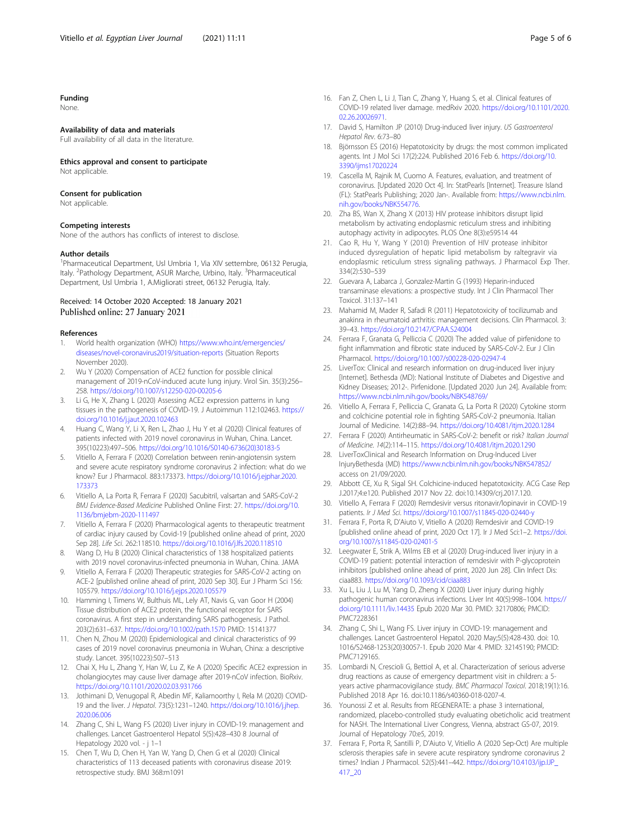## <span id="page-4-0"></span>Funding

None.

#### Availability of data and materials

Full availability of all data in the literature.

## Ethics approval and consent to participate

Not applicable.

## Consent for publication

Not applicable.

## Competing interests

None of the authors has conflicts of interest to disclose.

## Author details

<sup>1</sup>Pharmaceutical Department, Usl Umbria 1, Via XIV settembre, 06132 Perugia, Italy. <sup>2</sup>Pathology Department, ASUR Marche, Urbino, Italy. <sup>3</sup>Pharmaceutical Department, Usl Umbria 1, A.Migliorati street, 06132 Perugia, Italy.

## Received: 14 October 2020 Accepted: 18 January 2021 Published online: 27 January 2021

#### References

- 1. World health organization (WHO) [https://www.who.int/emergencies/](https://www.who.int/emergencies/diseases/novel-coronavirus2019/situation-reports) [diseases/novel-coronavirus2019/situation-reports](https://www.who.int/emergencies/diseases/novel-coronavirus2019/situation-reports) (Situation Reports November 2020).
- 2. Wu Y (2020) Compensation of ACE2 function for possible clinical management of 2019-nCoV-induced acute lung injury. Virol Sin. 35(3):256– 258. <https://doi.org/10.1007/s12250-020-00205-6>
- 3. Li G, He X, Zhang L (2020) Assessing ACE2 expression patterns in lung tissues in the pathogenesis of COVID-19. J Autoimmun 112:102463. [https://](https://doi.org/10.1016/j.jaut.2020.102463) [doi.org/10.1016/j.jaut.2020.102463](https://doi.org/10.1016/j.jaut.2020.102463)
- 4. Huang C, Wang Y, Li X, Ren L, Zhao J, Hu Y et al (2020) Clinical features of patients infected with 2019 novel coronavirus in Wuhan, China. Lancet. 395(10223):497–506. [https://doi.org/10.1016/S0140-6736\(20\)30183-5](https://doi.org/10.1016/S0140-6736(20)30183-5)
- 5. Vitiello A, Ferrara F (2020) Correlation between renin-angiotensin system and severe acute respiratory syndrome coronavirus 2 infection: what do we know? Eur J Pharmacol. 883:173373. [https://doi.org/10.1016/j.ejphar.2020.](https://doi.org/10.1016/j.ejphar.2020.173373) [173373](https://doi.org/10.1016/j.ejphar.2020.173373)
- 6. Vitiello A, La Porta R, Ferrara F (2020) Sacubitril, valsartan and SARS-CoV-2 BMJ Evidence-Based Medicine Published Online First: 27. [https://doi.org/10.](https://doi.org/10.1136/bmjebm-2020-111497) [1136/bmjebm-2020-111497](https://doi.org/10.1136/bmjebm-2020-111497)
- Vitiello A, Ferrara F (2020) Pharmacological agents to therapeutic treatment of cardiac injury caused by Covid-19 [published online ahead of print, 2020 Sep 28]. Life Sci. 262:118510. <https://doi.org/10.1016/j.lfs.2020.118510>
- Wang D, Hu B (2020) Clinical characteristics of 138 hospitalized patients with 2019 novel coronavirus-infected pneumonia in Wuhan, China. JAMA
- 9. Vitiello A, Ferrara F (2020) Therapeutic strategies for SARS-CoV-2 acting on ACE-2 [published online ahead of print, 2020 Sep 30]. Eur J Pharm Sci 156: 105579. <https://doi.org/10.1016/j.ejps.2020.105579>
- 10. Hamming I, Timens W, Bulthuis ML, Lely AT, Navis G, van Goor H (2004) Tissue distribution of ACE2 protein, the functional receptor for SARS coronavirus. A first step in understanding SARS pathogenesis. J Pathol. 203(2):631–637. <https://doi.org/10.1002/path.1570> PMID: 15141377
- 11. Chen N, Zhou M (2020) Epidemiological and clinical characteristics of 99 cases of 2019 novel coronavirus pneumonia in Wuhan, China: a descriptive study. Lancet. 395(10223):507–513
- 12. Chai X, Hu L, Zhang Y, Han W, Lu Z, Ke A (2020) Specific ACE2 expression in cholangiocytes may cause liver damage after 2019-nCoV infection. BioRxiv. <https://doi.org/10.1101/2020.02.03.931766>
- 13. Jothimani D, Venugopal R, Abedin MF, Kaliamoorthy I, Rela M (2020) COVID-19 and the liver. J Hepatol. 73(5):1231–1240. [https://doi.org/10.1016/j.jhep.](https://doi.org/10.1016/j.jhep.2020.06.006) [2020.06.006](https://doi.org/10.1016/j.jhep.2020.06.006)
- 14. Zhang C, Shi L, Wang FS (2020) Liver injury in COVID-19: management and challenges. Lancet Gastroenterol Hepatol 5(5):428–430 8 Journal of Hepatology 2020 vol. - j 1–1
- 15. Chen T, Wu D, Chen H, Yan W, Yang D, Chen G et al (2020) Clinical characteristics of 113 deceased patients with coronavirus disease 2019: retrospective study. BMJ 368:m1091
- 16. Fan Z, Chen L, Li J, Tian C, Zhang Y, Huang S, et al. Clinical features of COVID-19 related liver damage. medRxiv 2020. [https://doi.org/10.1101/2020.](https://doi.org/10.1101/2020.02.26.20026971) [02.26.20026971](https://doi.org/10.1101/2020.02.26.20026971).
- 17. David S, Hamilton JP (2010) Drug-induced liver injury. US Gastroenterol Hepatol Rev. 6:73–80
- 18. Björnsson ES (2016) Hepatotoxicity by drugs: the most common implicated agents. Int J Mol Sci 17(2):224. Published 2016 Feb 6. [https://doi.org/10.](https://doi.org/10.3390/ijms17020224) [3390/ijms17020224](https://doi.org/10.3390/ijms17020224)
- 19. Cascella M, Rajnik M, Cuomo A. Features, evaluation, and treatment of coronavirus. [Updated 2020 Oct 4]. In: StatPearls [Internet]. Treasure Island (FL): StatPearls Publishing; 2020 Jan-. Available from: [https://www.ncbi.nlm.](https://www.ncbi.nlm.nih.gov/books/NBK554776/) [nih.gov/books/NBK554776.](https://www.ncbi.nlm.nih.gov/books/NBK554776/)
- 20. Zha BS, Wan X, Zhang X (2013) HIV protease inhibitors disrupt lipid metabolism by activating endoplasmic reticulum stress and inhibiting autophagy activity in adipocytes. PLOS One 8(3):e59514 44
- 21. Cao R, Hu Y, Wang Y (2010) Prevention of HIV protease inhibitor induced dysregulation of hepatic lipid metabolism by raltegravir via endoplasmic reticulum stress signaling pathways. J Pharmacol Exp Ther. 334(2):530–539
- 22. Guevara A, Labarca J, Gonzalez-Martin G (1993) Heparin-induced transaminase elevations: a prospective study. Int J Clin Pharmacol Ther Toxicol. 31:137–141
- 23. Mahamid M, Mader R, Safadi R (2011) Hepatotoxicity of tocilizumab and anakinra in rheumatoid arthritis: management decisions. Clin Pharmacol. 3: 39–43. <https://doi.org/10.2147/CPAA.S24004>
- 24. Ferrara F, Granata G, Pelliccia C (2020) The added value of pirfenidone to fight inflammation and fibrotic state induced by SARS-CoV-2. Eur J Clin Pharmacol. <https://doi.org/10.1007/s00228-020-02947-4>
- 25. LiverTox: Clinical and research information on drug-induced liver injury [Internet]. Bethesda (MD): National Institute of Diabetes and Digestive and Kidney Diseases; 2012-. Pirfenidone. [Updated 2020 Jun 24]. Available from: <https://www.ncbi.nlm.nih.gov/books/NBK548769/>
- 26. Vitiello A, Ferrara F, Pelliccia C, Granata G, La Porta R (2020) Cytokine storm and colchicine potential role in fighting SARS-CoV-2 pneumonia. Italian Journal of Medicine. 14(2):88–94. <https://doi.org/10.4081/itjm.2020.1284>
- 27. Ferrara F (2020) Antirheumatic in SARS-CoV-2: benefit or risk? Italian Journal of Medicine. 14(2):114–115. <https://doi.org/10.4081/itjm.2020.1290>
- 28. LiverToxClinical and Research Information on Drug-Induced Liver InjuryBethesda (MD) <https://www.ncbi.nlm.nih.gov/books/NBK547852/> access on 21/09/2020.
- 29. Abbott CE, Xu R, Sigal SH. Colchicine-induced hepatotoxicity. ACG Case Rep J.2017;4:e120. Published 2017 Nov 22. doi:10.14309/crj.2017.120.
- 30. Vitiello A, Ferrara F (2020) Remdesivir versus ritonavir/lopinavir in COVID-19 patients. Ir J Med Sci. <https://doi.org/10.1007/s11845-020-02440-y>
- 31. Ferrara F, Porta R, D'Aiuto V, Vitiello A (2020) Remdesivir and COVID-19 [published online ahead of print, 2020 Oct 17]. Ir J Med Sci:1–2. [https://doi.](https://doi.org/10.1007/s11845-020-02401-5) [org/10.1007/s11845-020-02401-5](https://doi.org/10.1007/s11845-020-02401-5)
- 32. Leegwater E, Strik A, Wilms EB et al (2020) Drug-induced liver injury in a COVID-19 patient: potential interaction of remdesivir with P-glycoprotein inhibitors [published online ahead of print, 2020 Jun 28]. Clin Infect Dis: ciaa883. <https://doi.org/10.1093/cid/ciaa883>
- 33. Xu L, Liu J, Lu M, Yang D, Zheng X (2020) Liver injury during highly pathogenic human coronavirus infections. Liver Int 40(5):998–1004. [https://](https://doi.org/10.1111/liv.14435) [doi.org/10.1111/liv.14435](https://doi.org/10.1111/liv.14435) Epub 2020 Mar 30. PMID: 32170806; PMCID: PMC7228361
- 34. Zhang C, Shi L, Wang FS. Liver injury in COVID-19: management and challenges. Lancet Gastroenterol Hepatol. 2020 May;5(5):428-430. doi: 10. 1016/S2468-1253(20)30057-1. Epub 2020 Mar 4. PMID: 32145190; PMCID: PMC7129165.
- 35. Lombardi N, Crescioli G, Bettiol A, et al. Characterization of serious adverse drug reactions as cause of emergency department visit in children: a 5 years active pharmacovigilance study. BMC Pharmacol Toxicol. 2018;19(1):16. Published 2018 Apr 16. doi:10.1186/s40360-018-0207-4.
- 36. Younossi Z et al. Results from REGENERATE: a phase 3 international, randomized, placebo-controlled study evaluating obeticholic acid treatment for NASH. The International Liver Congress, Vienna, abstract GS-07, 2019. Journal of Hepatology 70:e5, 2019.
- 37. Ferrara F, Porta R, Santilli P, D'Aiuto V, Vitiello A (2020 Sep-Oct) Are multiple sclerosis therapies safe in severe acute respiratory syndrome coronavirus 2 times? Indian J Pharmacol. 52(5):441–442. [https://doi.org/10.4103/ijp.IJP\\_](https://doi.org/10.4103/ijp.IJP_417_20) [417\\_20](https://doi.org/10.4103/ijp.IJP_417_20)